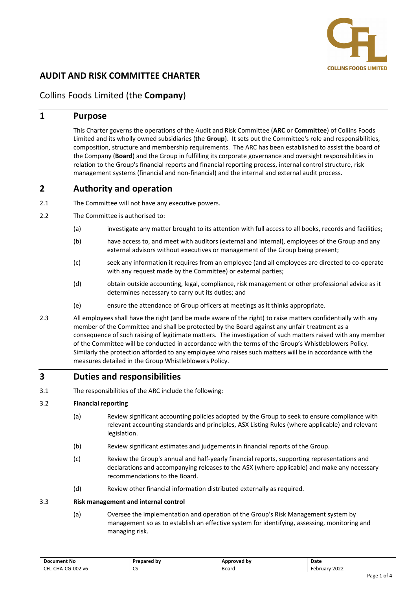

# **AUDIT AND RISK COMMITTEE CHARTER**

# Collins Foods Limited (the **Company**)

## **1 Purpose**

This Charter governs the operations of the Audit and Risk Committee (**ARC** or **Committee**) of Collins Foods Limited and its wholly owned subsidiaries (the **Group**). It sets out the Committee's role and responsibilities, composition, structure and membership requirements. The ARC has been established to assist the board of the Company (**Board**) and the Group in fulfilling its corporate governance and oversight responsibilities in relation to the Group's financial reports and financial reporting process, internal control structure, risk management systems (financial and non‐financial) and the internal and external audit process.

# **2 Authority and operation**

- 2.1 The Committee will not have any executive powers.
- 2.2 The Committee is authorised to:
	- (a) investigate any matter brought to its attention with full access to all books, records and facilities;
	- (b) have access to, and meet with auditors (external and internal), employees of the Group and any external advisors without executives or management of the Group being present;
	- (c) seek any information it requires from an employee (and all employees are directed to co‐operate with any request made by the Committee) or external parties;
	- (d) obtain outside accounting, legal, compliance, risk management or other professional advice as it determines necessary to carry out its duties; and
	- (e) ensure the attendance of Group officers at meetings as it thinks appropriate.
- 2.3 All employees shall have the right (and be made aware of the right) to raise matters confidentially with any member of the Committee and shall be protected by the Board against any unfair treatment as a consequence of such raising of legitimate matters. The investigation of such matters raised with any member of the Committee will be conducted in accordance with the terms of the Group's Whistleblowers Policy. Similarly the protection afforded to any employee who raises such matters will be in accordance with the measures detailed in the Group Whistleblowers Policy.

## **3 Duties and responsibilities**

3.1 The responsibilities of the ARC include the following:

### 3.2 **Financial reporting**

- (a) Review significant accounting policies adopted by the Group to seek to ensure compliance with relevant accounting standards and principles, ASX Listing Rules (where applicable) and relevant legislation.
- (b) Review significant estimates and judgements in financial reports of the Group.
- (c) Review the Group's annual and half‐yearly financial reports, supporting representations and declarations and accompanying releases to the ASX (where applicable) and make any necessary recommendations to the Board.
- (d) Review other financial information distributed externally as required.

## 3.3 **Risk management and internal control**

(a) Oversee the implementation and operation of the Group's Risk Management system by management so as to establish an effective system for identifying, assessing, monitoring and managing risk.

| <b>Document No</b><br>$\sim$                         | Prepared by | Approved by | Date<br>.                            |
|------------------------------------------------------|-------------|-------------|--------------------------------------|
| $\sim$<br>--<br>$\sim$<br>-UUZ V6<br>-CHA-<br>w<br>∽ | $\sim$<br>ີ | Board       | 2022<br>Fehr<br>, uar<br>2022<br>cur |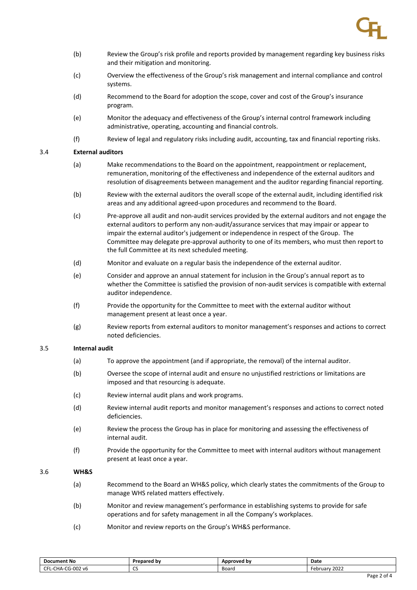- (b) Review the Group's risk profile and reports provided by management regarding key business risks and their mitigation and monitoring.
- (c) Overview the effectiveness of the Group's risk management and internal compliance and control systems.
- (d) Recommend to the Board for adoption the scope, cover and cost of the Group's insurance program.
- (e) Monitor the adequacy and effectiveness of the Group's internal control framework including administrative, operating, accounting and financial controls.
- (f) Review of legal and regulatory risks including audit, accounting, tax and financial reporting risks.

### 3.4 **External auditors**

- (a) Make recommendations to the Board on the appointment, reappointment or replacement, remuneration, monitoring of the effectiveness and independence of the external auditors and resolution of disagreements between management and the auditor regarding financial reporting.
- (b) Review with the external auditors the overall scope of the external audit, including identified risk areas and any additional agreed‐upon procedures and recommend to the Board.
- (c) Pre‐approve all audit and non‐audit services provided by the external auditors and not engage the external auditors to perform any non‐audit/assurance services that may impair or appear to impair the external auditor's judgement or independence in respect of the Group. The Committee may delegate pre‐approval authority to one of its members, who must then report to the full Committee at its next scheduled meeting.
- (d) Monitor and evaluate on a regular basis the independence of the external auditor.
- (e) Consider and approve an annual statement for inclusion in the Group's annual report as to whether the Committee is satisfied the provision of non-audit services is compatible with external auditor independence.
- (f) Provide the opportunity for the Committee to meet with the external auditor without management present at least once a year.
- (g) Review reports from external auditors to monitor management's responses and actions to correct noted deficiencies.

### 3.5 **Internal audit**

- (a) To approve the appointment (and if appropriate, the removal) of the internal auditor.
- (b) Oversee the scope of internal audit and ensure no unjustified restrictions or limitations are imposed and that resourcing is adequate.
- (c) Review internal audit plans and work programs.
- (d) Review internal audit reports and monitor management's responses and actions to correct noted deficiencies.
- (e) Review the process the Group has in place for monitoring and assessing the effectiveness of internal audit.
- (f) Provide the opportunity for the Committee to meet with internal auditors without management present at least once a year.

### 3.6 **WH&S**

- (a) Recommend to the Board an WH&S policy, which clearly states the commitments of the Group to manage WHS related matters effectively.
- (b) Monitor and review management's performance in establishing systems to provide for safe operations and for safety management in all the Company's workplaces.
- (c) Monitor and review reports on the Group's WH&S performance.

| <b>Document No</b><br>$\sim$                                         | Prepared by | Approved bv | Date<br>.                |
|----------------------------------------------------------------------|-------------|-------------|--------------------------|
| $\sim$<br>$\sim$<br>$\sim$<br>72 VG<br>∴CHA∹<br>ำ เา−UU∠ l<br>w<br>∽ | $\sim$<br>ິ | Board       | 2022<br>Februarv<br>2022 |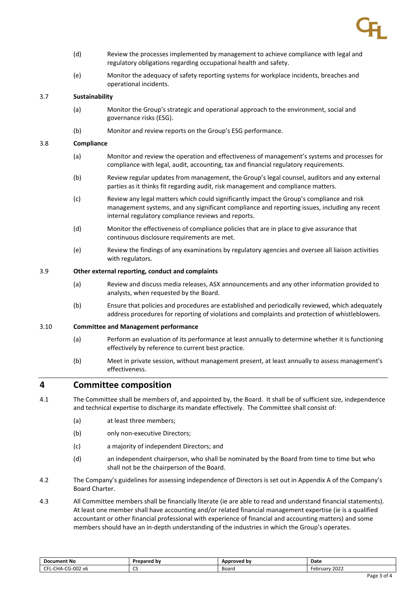

- (d) Review the processes implemented by management to achieve compliance with legal and regulatory obligations regarding occupational health and safety.
- (e) Monitor the adequacy of safety reporting systems for workplace incidents, breaches and operational incidents.

#### 3.7 **Sustainability**

- (a) Monitor the Group's strategic and operational approach to the environment, social and governance risks (ESG).
- (b) Monitor and review reports on the Group's ESG performance.

#### 3.8 **Compliance**

- (a) Monitor and review the operation and effectiveness of management's systems and processes for compliance with legal, audit, accounting, tax and financial regulatory requirements.
- (b) Review regular updates from management, the Group's legal counsel, auditors and any external parties as it thinks fit regarding audit, risk management and compliance matters.
- (c) Review any legal matters which could significantly impact the Group's compliance and risk management systems, and any significant compliance and reporting issues, including any recent internal regulatory compliance reviews and reports.
- (d) Monitor the effectiveness of compliance policies that are in place to give assurance that continuous disclosure requirements are met.
- (e) Review the findings of any examinations by regulatory agencies and oversee all liaison activities with regulators.

#### 3.9 **Other external reporting, conduct and complaints**

- (a) Review and discuss media releases, ASX announcements and any other information provided to analysts, when requested by the Board.
- (b) Ensure that policies and procedures are established and periodically reviewed, which adequately address procedures for reporting of violations and complaints and protection of whistleblowers.

#### 3.10 **Committee and Management performance**

- (a) Perform an evaluation of its performance at least annually to determine whether it is functioning effectively by reference to current best practice.
- (b) Meet in private session, without management present, at least annually to assess management's effectiveness.

### **4 Committee composition**

- 4.1 The Committee shall be members of, and appointed by, the Board. It shall be of sufficient size, independence and technical expertise to discharge its mandate effectively. The Committee shall consist of:
	- (a) at least three members;
	- (b) only non-executive Directors;
	- (c) a majority of independent Directors; and
	- (d) an independent chairperson, who shall be nominated by the Board from time to time but who shall not be the chairperson of the Board.
- 4.2 The Company's guidelines for assessing independence of Directors is set out in Appendix A of the Company's Board Charter.
- 4.3 All Committee members shall be financially literate (ie are able to read and understand financial statements). At least one member shall have accounting and/or related financial management expertise (ie is a qualified accountant or other financial professional with experience of financial and accounting matters) and some members should have an in‐depth understanding of the industries in which the Group's operates.

| <b>Document No</b>                                   | <b>Prepared by</b> | Approved by | Date<br>.                 |
|------------------------------------------------------|--------------------|-------------|---------------------------|
| 002<br>~~<br>$\sim$<br>' v6<br>′-HA∽<br>- 1<br>-- 17 | $\sim$<br>ີ        | Board       | 2022<br>February.<br>____ |